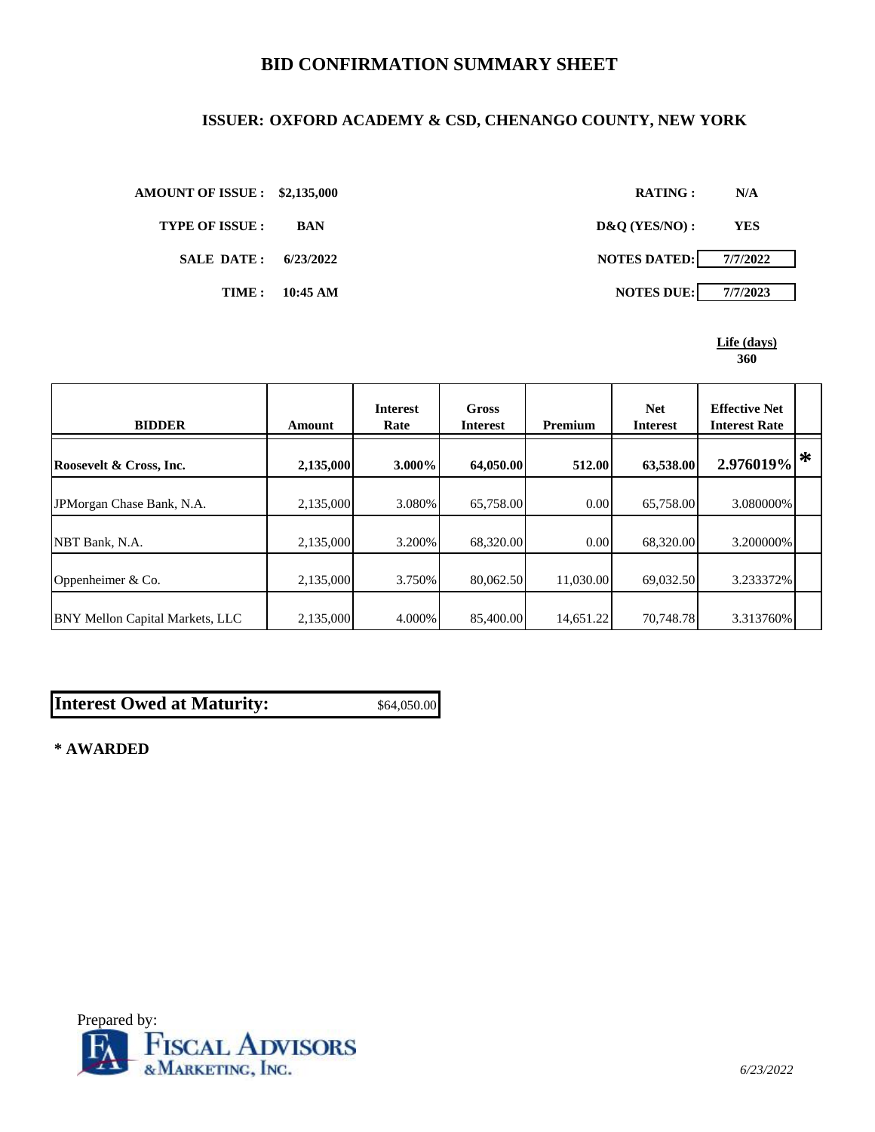## **BID CONFIRMATION SUMMARY SHEET**

### **ISSUER: OXFORD ACADEMY & CSD, CHENANGO COUNTY, NEW YORK**

**TYPE OF ISSUE : BAN D&Q (YES/NO) : YES**





| <b>BIDDER</b>                          | <b>Amount</b> | <b>Interest</b><br>Rate | <b>Gross</b><br><b>Interest</b> | <b>Premium</b> | <b>Net</b><br><b>Interest</b> | <b>Effective Net</b><br><b>Interest Rate</b> |   |
|----------------------------------------|---------------|-------------------------|---------------------------------|----------------|-------------------------------|----------------------------------------------|---|
| Roosevelt & Cross, Inc.                | 2,135,000     | $3.000\%$               | 64,050.00                       | 512.00         | 63,538.00                     | 2.976019%                                    | ∗ |
| JPM organ Chase Bank, N.A.             | 2,135,000     | 3.080%                  | 65,758.00                       | 0.00           | 65,758.00                     | 3.080000%                                    |   |
| NBT Bank, N.A.                         | 2,135,000     | 3.200%                  | 68,320.00                       | 0.00           | 68,320.00                     | 3.200000%                                    |   |
| Oppenheimer & Co.                      | 2,135,000     | 3.750%                  | 80,062.50                       | 11.030.00      | 69,032.50                     | 3.233372%                                    |   |
| <b>BNY Mellon Capital Markets, LLC</b> | 2,135,000     | 4.000%                  | 85,400.00                       | 14,651.22      | 70,748.78                     | 3.313760%                                    |   |

# **Interest Owed at Maturity:** \$64,050.00

**\* AWARDED**